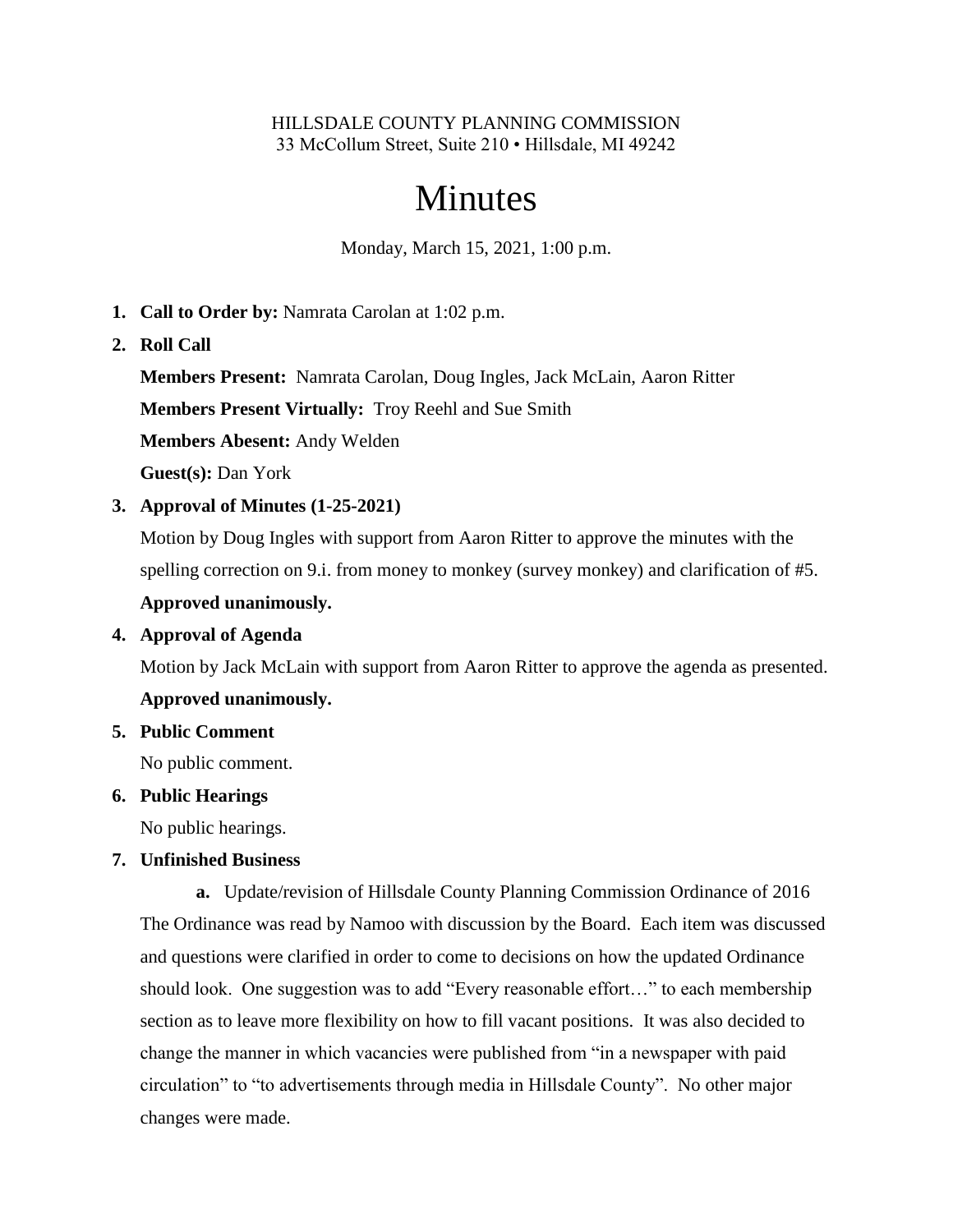#### HILLSDALE COUNTY PLANNING COMMISSION 33 McCollum Street, Suite 210 • Hillsdale, MI 49242

# Minutes

Monday, March 15, 2021, 1:00 p.m.

- **1. Call to Order by:** Namrata Carolan at 1:02 p.m.
- **2. Roll Call**

**Members Present:** Namrata Carolan, Doug Ingles, Jack McLain, Aaron Ritter

**Members Present Virtually:** Troy Reehl and Sue Smith

**Members Abesent:** Andy Welden

**Guest(s):** Dan York

**3. Approval of Minutes (1-25-2021)**

Motion by Doug Ingles with support from Aaron Ritter to approve the minutes with the spelling correction on 9.i. from money to monkey (survey monkey) and clarification of #5.

## **Approved unanimously.**

#### **4. Approval of Agenda**

Motion by Jack McLain with support from Aaron Ritter to approve the agenda as presented.

#### **Approved unanimously.**

**5. Public Comment**

No public comment.

#### **6. Public Hearings**

No public hearings.

#### **7. Unfinished Business**

**a.** Update/revision of Hillsdale County Planning Commission Ordinance of 2016 The Ordinance was read by Namoo with discussion by the Board. Each item was discussed and questions were clarified in order to come to decisions on how the updated Ordinance should look. One suggestion was to add "Every reasonable effort…" to each membership section as to leave more flexibility on how to fill vacant positions. It was also decided to change the manner in which vacancies were published from "in a newspaper with paid circulation" to "to advertisements through media in Hillsdale County". No other major changes were made.